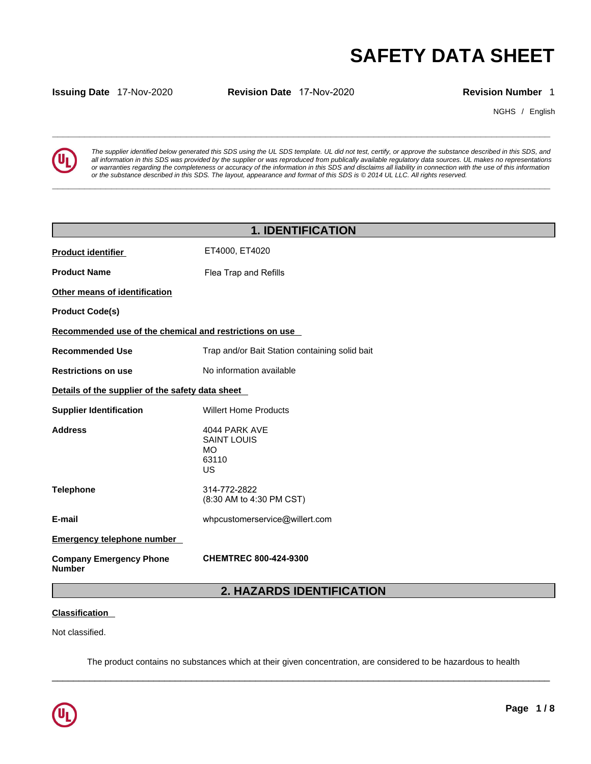

**SAFETY DATA SHEET**<br> **SECUTE:**<br> **Revision Number** 1<br> **Revision Number** 1<br> **EVERTY DATA SHEET**<br> **Revision Number** 1<br> **EVERTY DATA SHEET**<br> **Revision Number** 1<br> **EVERTY DATA SHEET**<br> **REVISION AND INTERNATION**<br> **REVISION NUMBE** *The supplier identified below generated this SDS using the UL SDS template. UL did not test, certify, or approve the substance described in this SDS, and all information in this SDS was provided by the supplier or was reproduced from publically available regulatory data sources. UL makes no representations or warranties regarding the completeness or accuracy of the information in this SDS and disclaims all liability in connection with the use of this information or the substance described in this SDS. The layout, appearance and format of this SDS is © 2014 UL LLC. All rights reserved.* 

|                                                         |                                                                                                                              |                           | <b>SAFETY DATA SHEET</b>                                                                                                                                                                                                                                                                                                                                                                                                                                                                 |
|---------------------------------------------------------|------------------------------------------------------------------------------------------------------------------------------|---------------------------|------------------------------------------------------------------------------------------------------------------------------------------------------------------------------------------------------------------------------------------------------------------------------------------------------------------------------------------------------------------------------------------------------------------------------------------------------------------------------------------|
| <b>Issuing Date 17-Nov-2020</b>                         | Revision Date 17-Nov-2020                                                                                                    |                           | <b>Revision Number 1</b>                                                                                                                                                                                                                                                                                                                                                                                                                                                                 |
|                                                         |                                                                                                                              |                           | NGHS / English                                                                                                                                                                                                                                                                                                                                                                                                                                                                           |
|                                                         | or the substance described in this SDS. The layout, appearance and format of this SDS is © 2014 UL LLC. All rights reserved. |                           | The supplier identified below generated this SDS using the UL SDS template. UL did not test, certify, or approve the substance described in this SDS, and<br>all information in this SDS was provided by the supplier or was reproduced from publically available regulatory data sources. UL makes no representations<br>or warranties regarding the completeness or accuracy of the information in this SDS and disclaims all liability in connection with the use of this information |
|                                                         |                                                                                                                              | <b>1. IDENTIFICATION</b>  |                                                                                                                                                                                                                                                                                                                                                                                                                                                                                          |
| <b>Product identifier</b>                               | ET4000, ET4020                                                                                                               |                           |                                                                                                                                                                                                                                                                                                                                                                                                                                                                                          |
| <b>Product Name</b>                                     | Flea Trap and Refills                                                                                                        |                           |                                                                                                                                                                                                                                                                                                                                                                                                                                                                                          |
| Other means of identification                           |                                                                                                                              |                           |                                                                                                                                                                                                                                                                                                                                                                                                                                                                                          |
| <b>Product Code(s)</b>                                  |                                                                                                                              |                           |                                                                                                                                                                                                                                                                                                                                                                                                                                                                                          |
| Recommended use of the chemical and restrictions on use |                                                                                                                              |                           |                                                                                                                                                                                                                                                                                                                                                                                                                                                                                          |
| <b>Recommended Use</b>                                  | Trap and/or Bait Station containing solid bait                                                                               |                           |                                                                                                                                                                                                                                                                                                                                                                                                                                                                                          |
| <b>Restrictions on use</b>                              | No information available                                                                                                     |                           |                                                                                                                                                                                                                                                                                                                                                                                                                                                                                          |
| Details of the supplier of the safety data sheet        |                                                                                                                              |                           |                                                                                                                                                                                                                                                                                                                                                                                                                                                                                          |
| <b>Supplier Identification</b>                          | <b>Willert Home Products</b>                                                                                                 |                           |                                                                                                                                                                                                                                                                                                                                                                                                                                                                                          |
| <b>Address</b>                                          | 4044 PARK AVE<br><b>SAINT LOUIS</b><br>MO.<br>63110<br>US                                                                    |                           |                                                                                                                                                                                                                                                                                                                                                                                                                                                                                          |
| <b>Telephone</b>                                        | 314-772-2822<br>(8:30 AM to 4:30 PM CST)                                                                                     |                           |                                                                                                                                                                                                                                                                                                                                                                                                                                                                                          |
| E-mail                                                  | whpcustomerservice@willert.com                                                                                               |                           |                                                                                                                                                                                                                                                                                                                                                                                                                                                                                          |
| <b>Emergency telephone number</b>                       |                                                                                                                              |                           |                                                                                                                                                                                                                                                                                                                                                                                                                                                                                          |
| <b>Company Emergency Phone</b><br><b>Number</b>         | <b>CHEMTREC 800-424-9300</b>                                                                                                 |                           |                                                                                                                                                                                                                                                                                                                                                                                                                                                                                          |
|                                                         |                                                                                                                              | 2. HAZARDS IDENTIFICATION |                                                                                                                                                                                                                                                                                                                                                                                                                                                                                          |
| <b>Classification</b>                                   |                                                                                                                              |                           |                                                                                                                                                                                                                                                                                                                                                                                                                                                                                          |
| Not classified.                                         |                                                                                                                              |                           |                                                                                                                                                                                                                                                                                                                                                                                                                                                                                          |

# **Classification**

 $\_$  ,  $\_$  ,  $\_$  ,  $\_$  ,  $\_$  ,  $\_$  ,  $\_$  ,  $\_$  ,  $\_$  ,  $\_$  ,  $\_$  ,  $\_$  ,  $\_$  ,  $\_$  ,  $\_$  ,  $\_$  ,  $\_$  ,  $\_$  ,  $\_$  ,  $\_$  ,  $\_$  ,  $\_$  ,  $\_$  ,  $\_$  ,  $\_$  ,  $\_$  ,  $\_$  ,  $\_$  ,  $\_$  ,  $\_$  ,  $\_$  ,  $\_$  ,  $\_$  ,  $\_$  ,  $\_$  ,  $\_$  ,  $\_$  , The product contains no substances which at their given concentration, are considered to be hazardous to health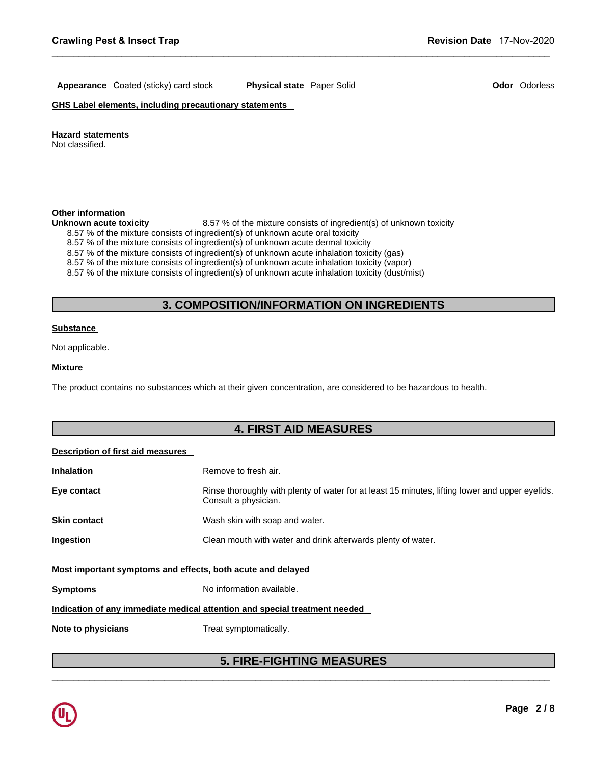# **Appearance** Coated (sticky) card stock **Physical state** Paper Solid **Odor** Odorless

**GHS Label elements, including precautionary statements** 

#### **Hazard statements**

Not classified.

### **Other information**

Unknown acute toxicity **8.57 %** of the mixture consists of ingredient(s) of unknown toxicity

- 8.57 % of the mixture consists of ingredient(s) of unknown acute oral toxicity
- 8.57 % of the mixture consists of ingredient(s) of unknown acute dermal toxicity

# 8.57 % of the mixture consists of ingredient(s) of unknown toxicity<br>nsists of ingredient(s) of unknown acute oral toxicity<br>nsists of ingredient(s) of unknown acute dermal toxicity<br>issits of ingredient(s) of unknown acute i

 $\_$  ,  $\_$  ,  $\_$  ,  $\_$  ,  $\_$  ,  $\_$  ,  $\_$  ,  $\_$  ,  $\_$  ,  $\_$  ,  $\_$  ,  $\_$  ,  $\_$  ,  $\_$  ,  $\_$  ,  $\_$  ,  $\_$  ,  $\_$  ,  $\_$  ,  $\_$  ,  $\_$  ,  $\_$  ,  $\_$  ,  $\_$  ,  $\_$  ,  $\_$  ,  $\_$  ,  $\_$  ,  $\_$  ,  $\_$  ,  $\_$  ,  $\_$  ,  $\_$  ,  $\_$  ,  $\_$  ,  $\_$  ,  $\_$  ,

#### **Substance**

#### **Mixture**

# **Description of first aid measures**

| <b>Inhalation</b><br>Eye contact | Remove to fresh air.<br>Rinse thoroughly with plenty of water for at least 15 minutes, lifting lower and upper eyelids. |
|----------------------------------|-------------------------------------------------------------------------------------------------------------------------|
|                                  | Consult a physician.                                                                                                    |
| <b>Skin contact</b>              | Wash skin with soap and water.                                                                                          |
| Ingestion                        | Clean mouth with water and drink afterwards plenty of water.                                                            |
|                                  | Most important symptoms and effects, both acute and delayed                                                             |
| <b>Symptoms</b>                  | No information available.                                                                                               |
|                                  | Indication of any immediate medical attention and special treatment needed                                              |
|                                  |                                                                                                                         |
| Note to physicians               | Treat symptomatically.                                                                                                  |
|                                  |                                                                                                                         |

# $\_$  ,  $\_$  ,  $\_$  ,  $\_$  ,  $\_$  ,  $\_$  ,  $\_$  ,  $\_$  ,  $\_$  ,  $\_$  ,  $\_$  ,  $\_$  ,  $\_$  ,  $\_$  ,  $\_$  ,  $\_$  ,  $\_$  ,  $\_$  ,  $\_$  ,  $\_$  ,  $\_$  ,  $\_$  ,  $\_$  ,  $\_$  ,  $\_$  ,  $\_$  ,  $\_$  ,  $\_$  ,  $\_$  ,  $\_$  ,  $\_$  ,  $\_$  ,  $\_$  ,  $\_$  ,  $\_$  ,  $\_$  ,  $\_$  ,

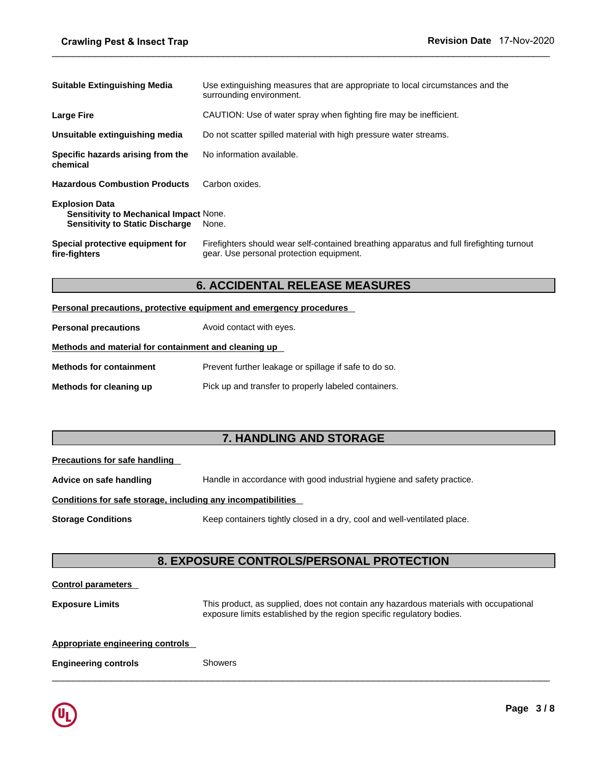| <b>Suitable Extinguishing Media</b>                                                                              | Use extinguishing measures that are appropriate to local circumstances and the<br>surrounding environment.                            |  |  |
|------------------------------------------------------------------------------------------------------------------|---------------------------------------------------------------------------------------------------------------------------------------|--|--|
| <b>Large Fire</b>                                                                                                | CAUTION: Use of water spray when fighting fire may be inefficient.                                                                    |  |  |
| Unsuitable extinguishing media                                                                                   | Do not scatter spilled material with high pressure water streams.                                                                     |  |  |
| Specific hazards arising from the<br>chemical                                                                    | No information available.                                                                                                             |  |  |
| <b>Hazardous Combustion Products</b>                                                                             | Carbon oxides.                                                                                                                        |  |  |
| <b>Explosion Data</b><br><b>Sensitivity to Mechanical Impact None.</b><br><b>Sensitivity to Static Discharge</b> | None.                                                                                                                                 |  |  |
| Special protective equipment for<br>fire-fighters                                                                | Firefighters should wear self-contained breathing apparatus and full firefighting turnout<br>gear. Use personal protection equipment. |  |  |
| <b>6. ACCIDENTAL RELEASE MEASURES</b>                                                                            |                                                                                                                                       |  |  |
|                                                                                                                  | <b>Personal precautions, protective equipment and emergency procedures</b>                                                            |  |  |
| <b>Personal precautions</b>                                                                                      | Avoid contact with eyes.                                                                                                              |  |  |

 $\_$  ,  $\_$  ,  $\_$  ,  $\_$  ,  $\_$  ,  $\_$  ,  $\_$  ,  $\_$  ,  $\_$  ,  $\_$  ,  $\_$  ,  $\_$  ,  $\_$  ,  $\_$  ,  $\_$  ,  $\_$  ,  $\_$  ,  $\_$  ,  $\_$  ,  $\_$  ,  $\_$  ,  $\_$  ,  $\_$  ,  $\_$  ,  $\_$  ,  $\_$  ,  $\_$  ,  $\_$  ,  $\_$  ,  $\_$  ,  $\_$  ,  $\_$  ,  $\_$  ,  $\_$  ,  $\_$  ,  $\_$  ,  $\_$  ,

|  | Personal precautions, protective equipment and emergency procedures |  |
|--|---------------------------------------------------------------------|--|
|  |                                                                     |  |

| ille-lighters                                        | gcar. Osc poisonal protocion equipment.                                |
|------------------------------------------------------|------------------------------------------------------------------------|
|                                                      | <b>6. ACCIDENTAL RELEASE MEASURES</b>                                  |
|                                                      | Personal precautions, protective equipment and emergency procedures    |
| <b>Personal precautions</b>                          | Avoid contact with eyes.                                               |
| Methods and material for containment and cleaning up |                                                                        |
| <b>Methods for containment</b>                       | Prevent further leakage or spillage if safe to do so.                  |
| Methods for cleaning up                              | Pick up and transfer to properly labeled containers.                   |
|                                                      |                                                                        |
|                                                      |                                                                        |
|                                                      | <b>7. HANDLING AND STORAGE</b>                                         |
| <b>Precautions for safe handling</b>                 |                                                                        |
| Advice on safe handling                              | Handle in accordance with good industrial hygiene and safety practice. |

| Precautions for safe handling |  |  |
|-------------------------------|--|--|
|                               |  |  |

| Methods for cleaning up                                      | Pick up and transfer to properly labeled containers.                                  |  |
|--------------------------------------------------------------|---------------------------------------------------------------------------------------|--|
|                                                              |                                                                                       |  |
|                                                              | 7. HANDLING AND STORAGE                                                               |  |
| <b>Precautions for safe handling</b>                         |                                                                                       |  |
| Advice on safe handling                                      | Handle in accordance with good industrial hygiene and safety practice.                |  |
| Conditions for safe storage, including any incompatibilities |                                                                                       |  |
| <b>Storage Conditions</b>                                    | Keep containers tightly closed in a dry, cool and well-ventilated place.              |  |
|                                                              |                                                                                       |  |
|                                                              | <b>8. EXPOSURE CONTROLS/PERSONAL PROTECTION</b>                                       |  |
| <b>Control parameters</b>                                    |                                                                                       |  |
| <b>Exposure Limits</b>                                       | This product, as supplied, does not contain any hazardous materials with occupational |  |

# **Conditions for safe storage, including any incompatibilities**

```
Storage Conditions Keep containers tightly closed in a dry, cool and well-ventilated place.
```
 $\_$  ,  $\_$  ,  $\_$  ,  $\_$  ,  $\_$  ,  $\_$  ,  $\_$  ,  $\_$  ,  $\_$  ,  $\_$  ,  $\_$  ,  $\_$  ,  $\_$  ,  $\_$  ,  $\_$  ,  $\_$  ,  $\_$  ,  $\_$  ,  $\_$  ,  $\_$  ,  $\_$  ,  $\_$  ,  $\_$  ,  $\_$  ,  $\_$  ,  $\_$  ,  $\_$  ,  $\_$  ,  $\_$  ,  $\_$  ,  $\_$  ,  $\_$  ,  $\_$  ,  $\_$  ,  $\_$  ,  $\_$  ,  $\_$  ,

#### **Control parameters**

**Exposure Limits** This product, as supplied, does not contain any hazardous materials with occupational exposure limits established by the region specific regulatory bodies.

## **Appropriate engineering controls**

**Engineering controls** Showers

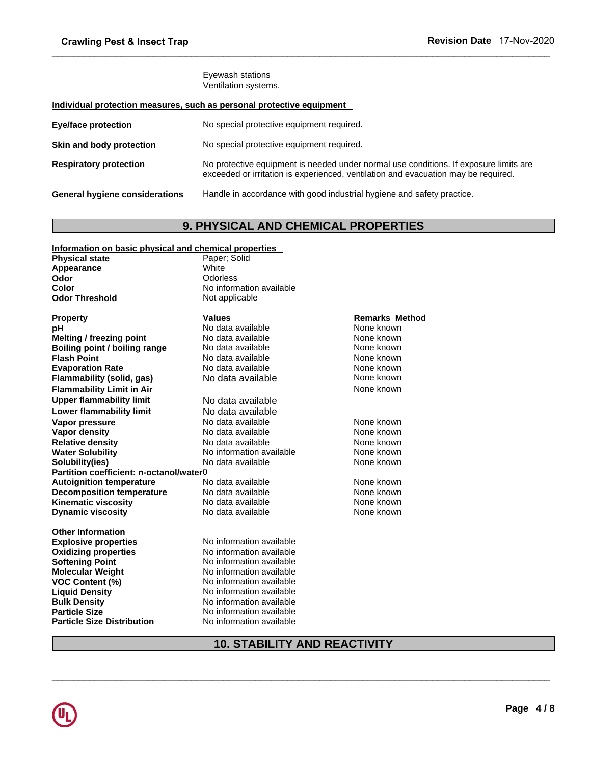# **Individual protection measures, such as personal protective equipment**

| orawinig r cot a mocct riap                           |                                                                                                                                                                             |
|-------------------------------------------------------|-----------------------------------------------------------------------------------------------------------------------------------------------------------------------------|
|                                                       | Eyewash stations<br>Ventilation systems.                                                                                                                                    |
|                                                       | Individual protection measures, such as personal protective equipment                                                                                                       |
| Eye/face protection                                   | No special protective equipment required.                                                                                                                                   |
| Skin and body protection                              | No special protective equipment required.                                                                                                                                   |
| <b>Respiratory protection</b>                         | No protective equipment is needed under normal use conditions. If exposure limits are<br>exceeded or irritation is experienced, ventilation and evacuation may be required. |
| <b>General hygiene considerations</b>                 | Handle in accordance with good industrial hygiene and safety practice.                                                                                                      |
|                                                       | <b>9. PHYSICAL AND CHEMICAL PROPERTIES</b>                                                                                                                                  |
| Information on basic physical and chemical properties |                                                                                                                                                                             |
| <b>Physical state</b>                                 | Paper; Solid                                                                                                                                                                |
| Appearance                                            | White                                                                                                                                                                       |

# **Information on basic physical and chemical properties**

| <b>Physical state</b>                   | Paper; Solid                        |                       |  |
|-----------------------------------------|-------------------------------------|-----------------------|--|
| Appearance                              | White                               |                       |  |
| <b>Odor</b>                             | Odorless                            |                       |  |
| Color                                   | No information available            |                       |  |
| <b>Odor Threshold</b>                   | Not applicable                      |                       |  |
| Property                                | Values                              | <b>Remarks Method</b> |  |
| pН                                      | No data available                   | None known            |  |
| Melting / freezing point                | No data available                   | None known            |  |
| Boiling point / boiling range           | No data available                   | None known            |  |
| <b>Flash Point</b>                      | No data available                   | None known            |  |
| <b>Evaporation Rate</b>                 | No data available                   | None known            |  |
| Flammability (solid, gas)               | No data available                   | None known            |  |
| <b>Flammability Limit in Air</b>        |                                     | None known            |  |
| <b>Upper flammability limit</b>         | No data available                   |                       |  |
| <b>Lower flammability limit</b>         | No data available                   |                       |  |
| Vapor pressure                          | No data available                   | None known            |  |
| <b>Vapor density</b>                    | No data available                   | None known            |  |
| <b>Relative density</b>                 | No data available                   | None known            |  |
| <b>Water Solubility</b>                 | No information available            | None known            |  |
| Solubility(ies)                         | No data available                   | None known            |  |
| Partition coefficient: n-octanol/water0 |                                     |                       |  |
| <b>Autoignition temperature</b>         | No data available                   | None known            |  |
| <b>Decomposition temperature</b>        | No data available                   | None known            |  |
| <b>Kinematic viscosity</b>              | No data available                   | None known            |  |
| <b>Dynamic viscosity</b>                | No data available                   | None known            |  |
| <b>Other Information</b>                |                                     |                       |  |
| <b>Explosive properties</b>             | No information available            |                       |  |
| <b>Oxidizing properties</b>             | No information available            |                       |  |
| <b>Softening Point</b>                  | No information available            |                       |  |
| <b>Molecular Weight</b>                 | No information available            |                       |  |
| <b>VOC Content (%)</b>                  | No information available            |                       |  |
| <b>Liquid Density</b>                   | No information available            |                       |  |
| <b>Bulk Density</b>                     | No information available            |                       |  |
| <b>Particle Size</b>                    | No information available            |                       |  |
| Particle Size Distribution              | No information available            |                       |  |
|                                         | <b>10. STABILITY AND REACTIVITY</b> |                       |  |
|                                         |                                     |                       |  |
|                                         |                                     |                       |  |
|                                         |                                     |                       |  |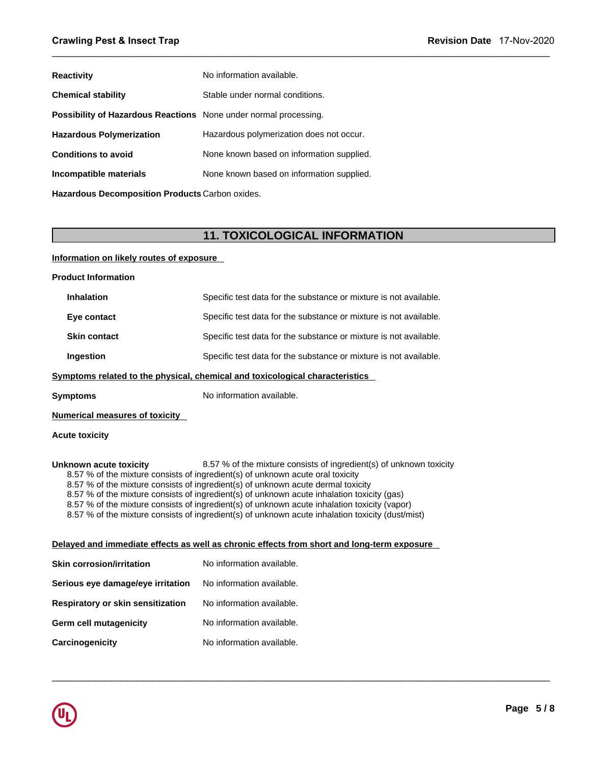| <b>Reactivity</b>                                                | No information available.                 |  |  |
|------------------------------------------------------------------|-------------------------------------------|--|--|
| <b>Chemical stability</b>                                        | Stable under normal conditions.           |  |  |
| Possibility of Hazardous Reactions None under normal processing. |                                           |  |  |
| <b>Hazardous Polymerization</b>                                  | Hazardous polymerization does not occur.  |  |  |
| <b>Conditions to avoid</b>                                       | None known based on information supplied. |  |  |
| Incompatible materials                                           | None known based on information supplied. |  |  |
| Hazardous Decomposition Products Carbon oxides.                  |                                           |  |  |
|                                                                  |                                           |  |  |
|                                                                  | <b>11. TOXICOLOGICAL INFORMATION</b>      |  |  |
| Information on likely routes of exposure                         |                                           |  |  |
| <b>Product Information</b>                                       |                                           |  |  |

 $\_$  ,  $\_$  ,  $\_$  ,  $\_$  ,  $\_$  ,  $\_$  ,  $\_$  ,  $\_$  ,  $\_$  ,  $\_$  ,  $\_$  ,  $\_$  ,  $\_$  ,  $\_$  ,  $\_$  ,  $\_$  ,  $\_$  ,  $\_$  ,  $\_$  ,  $\_$  ,  $\_$  ,  $\_$  ,  $\_$  ,  $\_$  ,  $\_$  ,  $\_$  ,  $\_$  ,  $\_$  ,  $\_$  ,  $\_$  ,  $\_$  ,  $\_$  ,  $\_$  ,  $\_$  ,  $\_$  ,  $\_$  ,  $\_$  ,

 $\_$  ,  $\_$  ,  $\_$  ,  $\_$  ,  $\_$  ,  $\_$  ,  $\_$  ,  $\_$  ,  $\_$  ,  $\_$  ,  $\_$  ,  $\_$  ,  $\_$  ,  $\_$  ,  $\_$  ,  $\_$  ,  $\_$  ,  $\_$  ,  $\_$  ,  $\_$  ,  $\_$  ,  $\_$  ,  $\_$  ,  $\_$  ,  $\_$  ,  $\_$  ,  $\_$  ,  $\_$  ,  $\_$  ,  $\_$  ,  $\_$  ,  $\_$  ,  $\_$  ,  $\_$  ,  $\_$  ,  $\_$  ,  $\_$  ,

# **Information on likely routes of exposure**

| <b>Product Information</b>                                                                                                                                                                                                                                                                                                                                                                                                                                                                                                                                            |                                                                                            |  |  |
|-----------------------------------------------------------------------------------------------------------------------------------------------------------------------------------------------------------------------------------------------------------------------------------------------------------------------------------------------------------------------------------------------------------------------------------------------------------------------------------------------------------------------------------------------------------------------|--------------------------------------------------------------------------------------------|--|--|
| <b>Inhalation</b>                                                                                                                                                                                                                                                                                                                                                                                                                                                                                                                                                     | Specific test data for the substance or mixture is not available.                          |  |  |
| Eye contact                                                                                                                                                                                                                                                                                                                                                                                                                                                                                                                                                           | Specific test data for the substance or mixture is not available.                          |  |  |
| <b>Skin contact</b>                                                                                                                                                                                                                                                                                                                                                                                                                                                                                                                                                   | Specific test data for the substance or mixture is not available.                          |  |  |
| Ingestion                                                                                                                                                                                                                                                                                                                                                                                                                                                                                                                                                             | Specific test data for the substance or mixture is not available.                          |  |  |
|                                                                                                                                                                                                                                                                                                                                                                                                                                                                                                                                                                       | Symptoms related to the physical, chemical and toxicological characteristics               |  |  |
| <b>Symptoms</b>                                                                                                                                                                                                                                                                                                                                                                                                                                                                                                                                                       | No information available.                                                                  |  |  |
| <b>Numerical measures of toxicity</b>                                                                                                                                                                                                                                                                                                                                                                                                                                                                                                                                 |                                                                                            |  |  |
| <b>Acute toxicity</b>                                                                                                                                                                                                                                                                                                                                                                                                                                                                                                                                                 |                                                                                            |  |  |
| Unknown acute toxicity<br>8.57 % of the mixture consists of ingredient(s) of unknown toxicity<br>8.57 % of the mixture consists of ingredient(s) of unknown acute oral toxicity<br>8.57 % of the mixture consists of ingredient(s) of unknown acute dermal toxicity<br>8.57 % of the mixture consists of ingredient(s) of unknown acute inhalation toxicity (gas)<br>8.57 % of the mixture consists of ingredient(s) of unknown acute inhalation toxicity (vapor)<br>8.57 % of the mixture consists of ingredient(s) of unknown acute inhalation toxicity (dust/mist) |                                                                                            |  |  |
|                                                                                                                                                                                                                                                                                                                                                                                                                                                                                                                                                                       | Delayed and immediate effects as well as chronic effects from short and long-term exposure |  |  |
| <b>Skin corrosion/irritation</b>                                                                                                                                                                                                                                                                                                                                                                                                                                                                                                                                      | No information available.                                                                  |  |  |
| Serious eye damage/eye irritation                                                                                                                                                                                                                                                                                                                                                                                                                                                                                                                                     | No information available.                                                                  |  |  |
| Respiratory or skin sensitization                                                                                                                                                                                                                                                                                                                                                                                                                                                                                                                                     | No information available.                                                                  |  |  |
| Germ cell mutagenicity                                                                                                                                                                                                                                                                                                                                                                                                                                                                                                                                                | No information available.                                                                  |  |  |
| Carcinogenicity                                                                                                                                                                                                                                                                                                                                                                                                                                                                                                                                                       | No information available.                                                                  |  |  |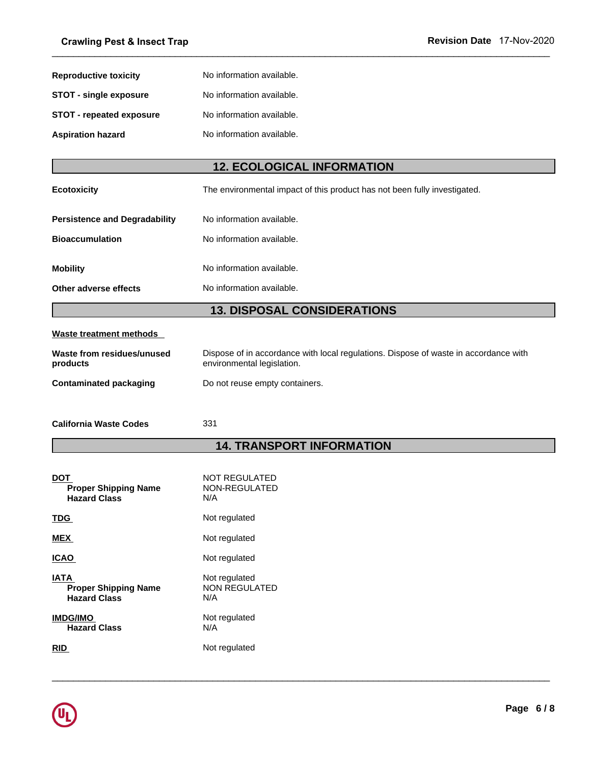| <b>Crawling Pest &amp; Insect Trap</b> |                                                                           | Revision Date 17-Nov-2020 |
|----------------------------------------|---------------------------------------------------------------------------|---------------------------|
| <b>Reproductive toxicity</b>           | No information available.                                                 |                           |
| <b>STOT - single exposure</b>          | No information available.                                                 |                           |
| <b>STOT - repeated exposure</b>        | No information available.                                                 |                           |
| <b>Aspiration hazard</b>               | No information available.                                                 |                           |
|                                        | <b>12. ECOLOGICAL INFORMATION</b>                                         |                           |
| <b>Ecotoxicity</b>                     | The environmental impact of this product has not been fully investigated. |                           |

 $\_$  ,  $\_$  ,  $\_$  ,  $\_$  ,  $\_$  ,  $\_$  ,  $\_$  ,  $\_$  ,  $\_$  ,  $\_$  ,  $\_$  ,  $\_$  ,  $\_$  ,  $\_$  ,  $\_$  ,  $\_$  ,  $\_$  ,  $\_$  ,  $\_$  ,  $\_$  ,  $\_$  ,  $\_$  ,  $\_$  ,  $\_$  ,  $\_$  ,  $\_$  ,  $\_$  ,  $\_$  ,  $\_$  ,  $\_$  ,  $\_$  ,  $\_$  ,  $\_$  ,  $\_$  ,  $\_$  ,  $\_$  ,  $\_$  ,

| <b>Aspiration hazard</b>             | No information available.                                                            |  |  |  |  |
|--------------------------------------|--------------------------------------------------------------------------------------|--|--|--|--|
|                                      |                                                                                      |  |  |  |  |
| <b>12. ECOLOGICAL INFORMATION</b>    |                                                                                      |  |  |  |  |
| <b>Ecotoxicity</b>                   | The environmental impact of this product has not been fully investigated.            |  |  |  |  |
| <b>Persistence and Degradability</b> | No information available.                                                            |  |  |  |  |
| <b>Bioaccumulation</b>               | No information available.                                                            |  |  |  |  |
| <b>Mobility</b>                      | No information available.                                                            |  |  |  |  |
| Other adverse effects                | No information available.                                                            |  |  |  |  |
|                                      | <b>13. DISPOSAL CONSIDERATIONS</b>                                                   |  |  |  |  |
| Waste treatment methods              |                                                                                      |  |  |  |  |
| Waste from residues/unused           | Dispose of in accordance with local regulations. Dispose of waste in accordance with |  |  |  |  |

# **Waste treatment methods**

| <b>Mobility</b>                           | No information available.                                                                                          |  |  |  |
|-------------------------------------------|--------------------------------------------------------------------------------------------------------------------|--|--|--|
| Other adverse effects                     | No information available.                                                                                          |  |  |  |
|                                           | <b>13. DISPOSAL CONSIDERATIONS</b>                                                                                 |  |  |  |
| <b>Waste treatment methods</b>            |                                                                                                                    |  |  |  |
| Waste from residues/unused<br>products    | Dispose of in accordance with local regulations. Dispose of waste in accordance with<br>environmental legislation. |  |  |  |
| <b>Contaminated packaging</b>             | Do not reuse empty containers.                                                                                     |  |  |  |
| <b>California Waste Codes</b>             | 331                                                                                                                |  |  |  |
| <b>14. TRANSPORT INFORMATION</b>          |                                                                                                                    |  |  |  |
|                                           |                                                                                                                    |  |  |  |
| <b>DOT</b><br><b>Proper Shipping Name</b> | NOT REGULATED<br>NON-REGULATED                                                                                     |  |  |  |

| Contaminated packaging | Do not reuse empty containers. |
|------------------------|--------------------------------|
|------------------------|--------------------------------|

 $\_$  ,  $\_$  ,  $\_$  ,  $\_$  ,  $\_$  ,  $\_$  ,  $\_$  ,  $\_$  ,  $\_$  ,  $\_$  ,  $\_$  ,  $\_$  ,  $\_$  ,  $\_$  ,  $\_$  ,  $\_$  ,  $\_$  ,  $\_$  ,  $\_$  ,  $\_$  ,  $\_$  ,  $\_$  ,  $\_$  ,  $\_$  ,  $\_$  ,  $\_$  ,  $\_$  ,  $\_$  ,  $\_$  ,  $\_$  ,  $\_$  ,  $\_$  ,  $\_$  ,  $\_$  ,  $\_$  ,  $\_$  ,  $\_$  ,

| <b>DOT</b><br><b>Proper Shipping Name</b><br><b>Hazard Class</b>  | <b>NOT REGULATED</b><br>NON-REGULATED<br>N/A |
|-------------------------------------------------------------------|----------------------------------------------|
| TDG.                                                              | Not regulated                                |
| <b>MEX</b>                                                        | Not regulated                                |
| <b>ICAO</b>                                                       | Not regulated                                |
| <b>IATA</b><br><b>Proper Shipping Name</b><br><b>Hazard Class</b> | Not regulated<br><b>NON REGULATED</b><br>N/A |
| <b>IMDG/IMO</b><br><b>Hazard Class</b>                            | Not regulated<br>N/A                         |
| RID                                                               | Not regulated                                |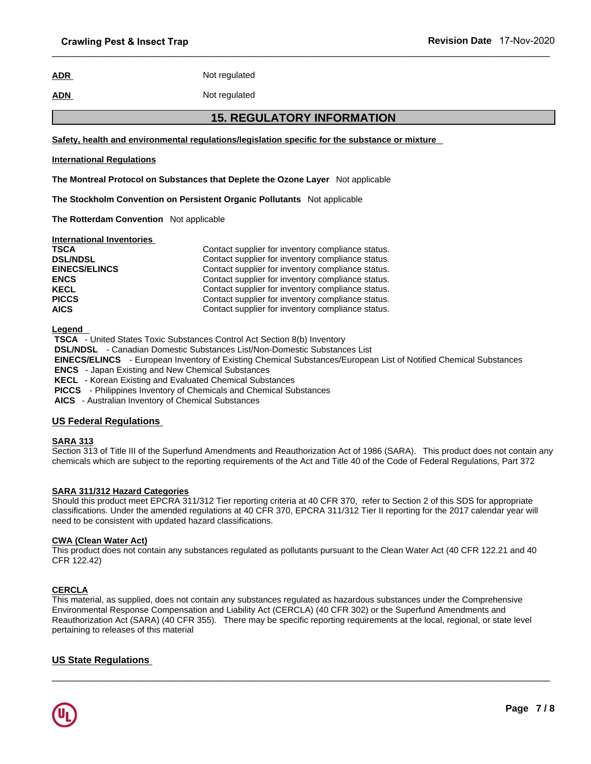# **ADR** Not regulated

#### **ADN** Not regulated

 $\_$  ,  $\_$  ,  $\_$  ,  $\_$  ,  $\_$  ,  $\_$  ,  $\_$  ,  $\_$  ,  $\_$  ,  $\_$  ,  $\_$  ,  $\_$  ,  $\_$  ,  $\_$  ,  $\_$  ,  $\_$  ,  $\_$  ,  $\_$  ,  $\_$  ,  $\_$  ,  $\_$  ,  $\_$  ,  $\_$  ,  $\_$  ,  $\_$  ,  $\_$  ,  $\_$  ,  $\_$  ,  $\_$  ,  $\_$  ,  $\_$  ,  $\_$  ,  $\_$  ,  $\_$  ,  $\_$  ,  $\_$  ,  $\_$  ,

# **17-Nov-2020**<br>
2010<br>
2020<br>
2011 The Substance of mixture<br>
2015. REGULATORY INFORMATION<br>
2016<br>
2017 The Substance or mixture **Safety, health and environmental regulations/legislation specific for the substance or mixture**

#### **International Regulations**

**The Montreal Protocol on Substances that Deplete the Ozone Layer** Not applicable

**The Stockholm Convention on Persistent Organic Pollutants** Not applicable

**The Rotterdam Convention** Not applicable

| <b>International Inventories</b> |                                                   |
|----------------------------------|---------------------------------------------------|
| <b>TSCA</b>                      | Contact supplier for inventory compliance status. |
| <b>DSL/NDSL</b>                  | Contact supplier for inventory compliance status. |
| <b>EINECS/ELINCS</b>             | Contact supplier for inventory compliance status. |
| <b>ENCS</b>                      | Contact supplier for inventory compliance status. |
| <b>KECL</b>                      | Contact supplier for inventory compliance status. |
| <b>PICCS</b>                     | Contact supplier for inventory compliance status. |
| <b>AICS</b>                      | Contact supplier for inventory compliance status. |

**Legend** 

 **TSCA** - United States Toxic Substances Control Act Section 8(b) Inventory  **DSL/NDSL** - Canadian Domestic Substances List/Non-Domestic Substances List  **EINECS/ELINCS** - European Inventory of Existing Chemical Substances/European List of Notified Chemical Substances  **ENCS** - Japan Existing and New Chemical Substances  **KECL** - Korean Existing and Evaluated Chemical Substances  **PICCS** - Philippines Inventory of Chemicals and Chemical Substances

 **AICS** - Australian Inventory of Chemical Substances

#### **US Federal Regulations**

## **SARA 313**

Section 313 of Title III of the Superfund Amendments and Reauthorization Act of 1986 (SARA). This product does not contain any chemicals which are subject to the reporting requirements of the Act and Title 40 of the Code of Federal Regulations, Part 372

#### **SARA 311/312 Hazard Categories**

Should this product meet EPCRA 311/312 Tier reporting criteria at 40 CFR 370, refer to Section 2 of this SDS for appropriate classifications. Under the amended regulations at 40 CFR 370, EPCRA 311/312 Tier II reporting for the 2017 calendar year will need to be consistent with updated hazard classifications.

#### **CWA (Clean Water Act)**

This product does not contain any substances regulated as pollutants pursuant to the Clean Water Act (40 CFR 122.21 and 40 CFR 122.42)

#### **CERCLA**

This material, as supplied, does not contain any substances regulated as hazardous substances under the Comprehensive Environmental Response Compensation and Liability Act (CERCLA) (40 CFR 302) or the Superfund Amendments and Reauthorization Act (SARA) (40 CFR 355). There may be specific reporting requirements at the local, regional, or state level pertaining to releases of this material

 $\_$  ,  $\_$  ,  $\_$  ,  $\_$  ,  $\_$  ,  $\_$  ,  $\_$  ,  $\_$  ,  $\_$  ,  $\_$  ,  $\_$  ,  $\_$  ,  $\_$  ,  $\_$  ,  $\_$  ,  $\_$  ,  $\_$  ,  $\_$  ,  $\_$  ,  $\_$  ,  $\_$  ,  $\_$  ,  $\_$  ,  $\_$  ,  $\_$  ,  $\_$  ,  $\_$  ,  $\_$  ,  $\_$  ,  $\_$  ,  $\_$  ,  $\_$  ,  $\_$  ,  $\_$  ,  $\_$  ,  $\_$  ,  $\_$  ,

#### **US State Regulations**